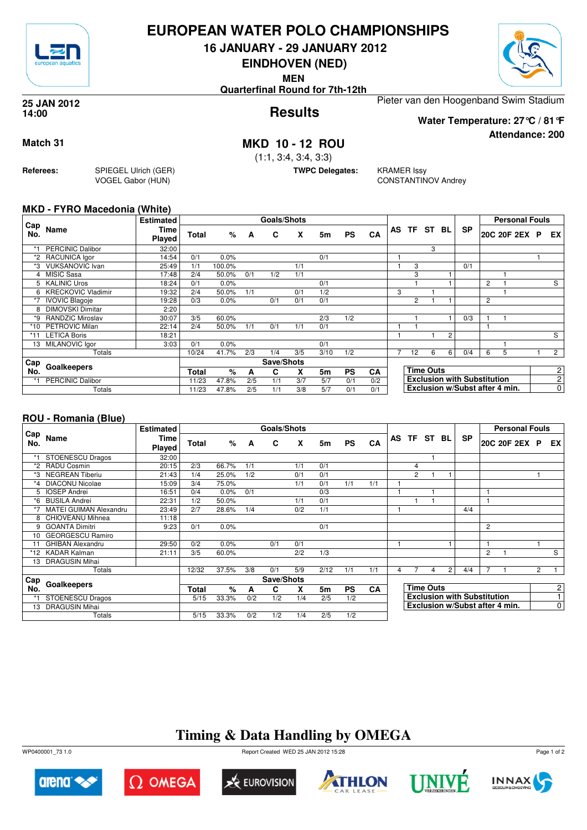

## **EUROPEAN WATER POLO CHAMPIONSHIPS**

**16 JANUARY - 29 JANUARY 2012**

**EINDHOVEN (NED)**

**MEN**

**Quarterfinal Round for 7th-12th**



**Attendance: 200**

**Results 25 JAN 2012 14:00**

Pieter van den Hoogenband Swim Stadium

**Water Temperature: 27°C / 81°F**

**Match 31 MKD 10 - 12 ROU**

(1:1, 3:4, 3:4, 3:3)

**TWPC Delegates:** KRAMER Issy

CONSTANTINOV Andrey

### **MKD - FYRO Macedonia (White)**

**Referees:** SPIEGEL Ulrich (GER)

VOGEL Gabor (HUN)

|            |                           | <b>Estimated</b> |              |        |     | <b>Goals/Shots</b> |     |                |           |     |   |                  |    |                |                                    |               | <b>Personal Fouls</b>          |                |
|------------|---------------------------|------------------|--------------|--------|-----|--------------------|-----|----------------|-----------|-----|---|------------------|----|----------------|------------------------------------|---------------|--------------------------------|----------------|
| Cap<br>No. | Name                      | Time<br>Played   | <b>Total</b> | %      | A   | C                  | X   | 5m             | <b>PS</b> | CA  |   | AS TF ST         | BL | <b>SP</b>      |                                    | 20C 20F 2EX P | EX                             |                |
|            | <b>PERCINIC Dalibor</b>   | 32:00            |              |        |     |                    |     |                |           |     |   |                  | 3  |                |                                    |               |                                |                |
|            | *2 RACUNICA lgor          | 14:54            | 0/1          | 0.0%   |     |                    |     | 0/1            |           |     |   |                  |    |                |                                    |               |                                |                |
| *3         | <b>VUKSANOVIC Ivan</b>    | 25:49            | 1/1          | 100.0% |     |                    | 1/1 |                |           |     |   | 3                |    |                | 0/1                                |               |                                |                |
| 4          | <b>MISIC Sasa</b>         | 17:48            | 2/4          | 50.0%  | 0/1 | 1/2                | 1/1 |                |           |     |   | 3                |    |                |                                    |               |                                |                |
| 5.         | <b>KALINIC Uros</b>       | 18:24            | 0/1          | 0.0%   |     |                    |     | 0/1            |           |     |   |                  |    |                |                                    | 2             |                                | S              |
| 6          | <b>KRECKOVIC Vladimir</b> | 19:32            | 2/4          | 50.0%  | 1/1 |                    | 0/1 | 1/2            |           |     | 3 |                  |    |                |                                    |               |                                |                |
|            | <b>IVOVIC Blagoje</b>     | 19:28            | 0/3          | 0.0%   |     | 0/1                | 0/1 | 0/1            |           |     |   | $\overline{2}$   |    |                |                                    | 2             |                                |                |
| 8          | <b>DIMOVSKI Dimitar</b>   | 2:20             |              |        |     |                    |     |                |           |     |   |                  |    |                |                                    |               |                                |                |
| *9         | <b>RANDZIC Miroslav</b>   | 30:07            | 3/5          | 60.0%  |     |                    |     | 2/3            | 1/2       |     |   |                  |    |                | 0/3                                |               |                                |                |
| *10        | PETROVIC Milan            | 22:14            | 2/4          | 50.0%  | 1/1 | 0/1                | 1/1 | 0/1            |           |     |   |                  |    |                |                                    |               |                                |                |
| *11        | <b>LETICA Boris</b>       | 18:21            |              |        |     |                    |     |                |           |     |   |                  |    | $\overline{2}$ |                                    |               |                                | S              |
| 13         | MILANOVIC Igor            | 3:03             | 0/1          | 0.0%   |     |                    |     | 0/1            |           |     |   |                  |    |                |                                    |               |                                |                |
|            | Totals                    |                  | 10/24        | 41.7%  | 2/3 | 1/4                | 3/5 | 3/10           | 1/2       |     | 7 | 12               | 6  | 6              | 0/4                                | 6             | 5                              | $\overline{2}$ |
| Cap        |                           |                  |              |        |     | Save/Shots         |     |                |           |     |   |                  |    |                |                                    |               |                                |                |
| No.        | Goalkeepers               |                  |              | $\%$   | A   | C                  | X   | 5 <sub>m</sub> | <b>PS</b> | CA  |   | <b>Time Outs</b> |    |                |                                    |               | 2                              |                |
|            | <b>PERCINIC Dalibor</b>   |                  | 11/23        | 47.8%  | 2/5 | 1/1                | 3/7 | 5/7            | 0/1       | 0/2 |   |                  |    |                | <b>Exclusion with Substitution</b> |               |                                | $\overline{2}$ |
|            | Totals                    |                  | 11/23        | 47.8%  | 2/5 | 1/1                | 3/8 | 5/7            | 0/1       | 0/1 |   |                  |    |                |                                    |               | Exclusion w/Subst after 4 min. | $\overline{0}$ |

### **ROU - Romania (Blue)**

|             |                               | <b>Estimated</b> |       |       |     | Goals/Shots |     |                |           |     |   |                |                  |                |                                    |                | <b>Personal Fouls</b>          |                |                |
|-------------|-------------------------------|------------------|-------|-------|-----|-------------|-----|----------------|-----------|-----|---|----------------|------------------|----------------|------------------------------------|----------------|--------------------------------|----------------|----------------|
| ∟Cap<br>No. | Name                          | Time<br>Played   | Total | %     | A   | C           | X   | 5m             | <b>PS</b> | CA  |   | AS TF          | ST               | BL             | <b>SP</b>                          |                | 20C 20F 2EX                    | P              | EX I           |
| *1          | <b>STOENESCU Dragos</b>       | 32:00            |       |       |     |             |     |                |           |     |   |                |                  |                |                                    |                |                                |                |                |
| *2          | <b>RADU Cosmin</b>            | 20:15            | 2/3   | 66.7% | 1/1 |             | 1/1 | 0/1            |           |     |   | 4              |                  |                |                                    |                |                                |                |                |
| *3          | <b>NEGREAN Tiberiu</b>        | 21:43            | 1/4   | 25.0% | 1/2 |             | 0/1 | 0/1            |           |     |   | $\overline{2}$ |                  |                |                                    |                |                                |                |                |
| $*_{4}$     | <b>DIACONU Nicolae</b>        | 15:09            | 3/4   | 75.0% |     |             | 1/1 | 0/1            | 1/1       | 1/1 |   |                |                  |                |                                    |                |                                |                |                |
|             | <b>IOSEP Andrei</b>           | 16:51            | 0/4   | 0.0%  | 0/1 |             |     | 0/3            |           |     |   |                |                  |                |                                    |                |                                |                |                |
| *6          | <b>BUSILA Andrei</b>          | 22:31            | 1/2   | 50.0% |     |             | 1/1 | 0/1            |           |     |   |                |                  |                |                                    |                |                                |                |                |
|             | <b>MATEI GUIMAN Alexandru</b> | 23:49            | 2/7   | 28.6% | 1/4 |             | 0/2 | 1/1            |           |     |   |                |                  |                | 4/4                                |                |                                |                |                |
| 8           | CHIOVEANU Mihnea              | 11:18            |       |       |     |             |     |                |           |     |   |                |                  |                |                                    |                |                                |                |                |
| 9           | <b>GOANTA Dimitri</b>         | 9:23             | 0/1   | 0.0%  |     |             |     | 0/1            |           |     |   |                |                  |                |                                    | $\overline{2}$ |                                |                |                |
| 10          | <b>GEORGESCU Ramiro</b>       |                  |       |       |     |             |     |                |           |     |   |                |                  |                |                                    |                |                                |                |                |
| 11          | <b>GHIBAN Alexandru</b>       | 29:50            | 0/2   | 0.0%  |     | 0/1         | 0/1 |                |           |     |   |                |                  |                |                                    |                |                                |                |                |
| *12         | <b>KADAR Kalman</b>           | 21:11            | 3/5   | 60.0% |     |             | 2/2 | 1/3            |           |     |   |                |                  |                |                                    | 2              |                                |                | S              |
| 13          | <b>DRAGUSIN Mihai</b>         |                  |       |       |     |             |     |                |           |     |   |                |                  |                |                                    |                |                                |                |                |
|             | Totals                        |                  | 12/32 | 37.5% | 3/8 | 0/1         | 5/9 | 2/12           | 1/1       | 1/1 | 4 |                | 4                | $\overline{2}$ | 4/4                                | 7              |                                | $\overline{2}$ |                |
| Cap         |                               |                  |       |       |     | Save/Shots  |     |                |           |     |   |                |                  |                |                                    |                |                                |                |                |
| No.         | Goalkeepers                   |                  | Total | %     | A   | C           | x   | 5 <sub>m</sub> | <b>PS</b> | CA  |   |                | <b>Time Outs</b> |                |                                    |                |                                |                | $\overline{c}$ |
|             | <b>STOENESCU Dragos</b>       |                  | 5/15  | 33.3% | 0/2 | 1/2         | 1/4 | 2/5            | 1/2       |     |   |                |                  |                | <b>Exclusion with Substitution</b> |                |                                |                |                |
| 13          | <b>DRAGUSIN Mihai</b>         |                  |       |       |     |             |     |                |           |     |   |                |                  |                |                                    |                | Exclusion w/Subst after 4 min. |                | $\overline{0}$ |
|             | Totals                        |                  | 5/15  | 33.3% | 0/2 | 1/2         | 1/4 | 2/5            | 1/2       |     |   |                |                  |                |                                    |                |                                |                |                |

## **Timing & Data Handling by OMEGA**



 $\Omega$  Omega











Page 1 of 2